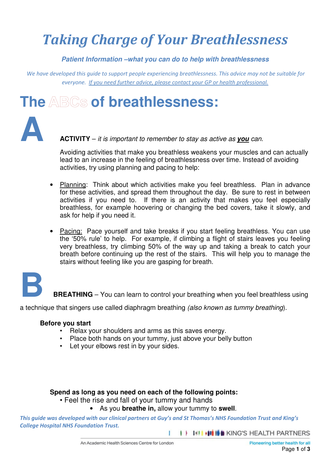## *Taking Charge of Your Breathlessness*

**Patient Information –what you can do to help with breathlessness** 

 *We have developed this guide to support people experiencing breathlessness. This advice may not be suitable for everyone. If you need further advice, please contact your GP or health professional.*

### **The of breathlessness:**



**A ACTIVITY** – it is important to remember to stay as active as **you** can.

Avoiding activities that make you breathless weakens your muscles and can actually lead to an increase in the feeling of breathlessness over time. Instead of avoiding activities, try using planning and pacing to help:

- Planning: Think about which activities make you feel breathless. Plan in advance for these activities, and spread them throughout the day. Be sure to rest in between activities if you need to. If there is an activity that makes you feel especially breathless, for example hoovering or changing the bed covers, take it slowly, and ask for help if you need it.
- Pacing:Pace yourself and take breaks if you start feeling breathless. You can use the '50% rule' to help. For example, if climbing a flight of stairs leaves you feeling very breathless, try climbing 50% of the way up and taking a break to catch your breath before continuing up the rest of the stairs. This will help you to manage the stairs without feeling like you are gasping for breath.



**BREATHING** – You can learn to control your breathing when you feel breathless using

a technique that singers use called diaphragm breathing (also known as tummy breathing).

#### **Before you start**

- Relax your shoulders and arms as this saves energy.
- Place both hands on your tummy, just above your belly button
- Let your elbows rest in by your sides.

#### **Spend as long as you need on each of the following points:**

• Feel the rise and fall of your tummy and hands

#### • As you **breathe in,** allow your tummy to **swell**.

*This guide was developed with our clinical partners at Guy's and St Thomas's NHS Foundation Trust and King's College Hospital NHS Foundation Trust.* 

> I | III | III | III | III | KING'S HEALTH PARTNERS т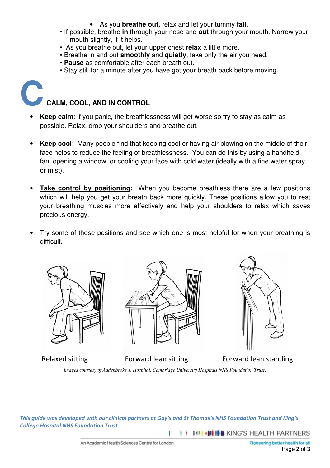- As you **breathe out,** relax and let your tummy **fall.**
- If possible, breathe **in** through your nose and **out** through your mouth. Narrow your mouth slightly, if it helps.
- As you breathe out, let your upper chest **relax** a little more.
- Breathe in and out **smoothly** and **quietly**; take only the air you need.
- **Pause** as comfortable after each breath out.
- Stay still for a minute after you have got your breath back before moving.

### **CCALM, COOL, AND IN CONTROL**

- **Keep calm**: If you panic, the breathlessness will get worse so try to stay as calm as possible. Relax, drop your shoulders and breathe out.
- **Keep cool**: Many people find that keeping cool or having air blowing on the middle of their face helps to reduce the feeling of breathlessness. You can do this by using a handheld fan, opening a window, or cooling your face with cold water (ideally with a fine water spray or mist).
- **Take control by positioning:** When you become breathless there are a few positions which will help you get your breath back more quickly. These positions allow you to rest your breathing muscles more effectively and help your shoulders to relax which saves precious energy.
- Try some of these positions and see which one is most helpful for when your breathing is difficult.





![](_page_1_Picture_16.jpeg)

Relaxed sitting Forward lean sitting Forward lean standing

*Images courtesy of Addenbroke's, Hospital, Cambridge University Hospitals NHS Foundation Trust.*

*This guide was developed with our clinical partners at Guy's and St Thomas's NHS Foundation Trust and King's College Hospital NHS Foundation Trust.* 

I | INI HI HE KING'S HEALTH PARTNERS